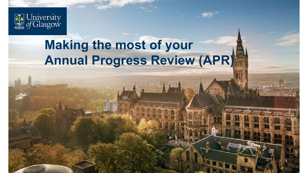

## **Making the most of your Annual Progress Review (APR)**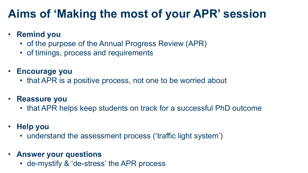### **Aims of 'Making the most of your APR' session**

### • **Remind you**

- of the purpose of the Annual Progress Review (APR)
- of timings, process and requirements
- **Encourage you**
	- that APR is a positive process, not one to be worried about
- **Reassure you**
	- that APR helps keep students on track for a successful PhD outcome
- **Help you**
	- understand the assessment process ('traffic light system')
- **Answer your questions**
	- de-mystify & 'de-stress' the APR process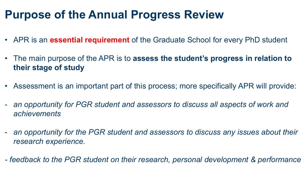### **Purpose of the Annual Progress Review**

- APR is an **essential requirement** of the Graduate School for every PhD student
- The main purpose of the APR is to **assess the student's progress in relation to their stage of study**
- Assessment is an important part of this process; more specifically APR will provide:
- *an opportunity for PGR student and assessors to discuss all aspects of work and achievements*
- *an opportunity for the PGR student and assessors to discuss any issues about their research experience.*
- *- feedback to the PGR student on their research, personal development & performance*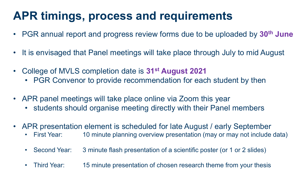## **APR timings, process and requirements**

- PGR annual report and progress review forms due to be uploaded by **30th June**
- It is envisaged that Panel meetings will take place through July to mid August
- College of MVLS completion date is **31st August 2021**
	- PGR Convenor to provide recommendation for each student by then
- APR panel meetings will take place online via Zoom this year
	- students should organise meeting directly with their Panel members
- APR presentation element is scheduled for late August / early September
	- First Year: 10 minute planning overview presentation (may or may not include data)
	- Second Year: 3 minute flash presentation of a scientific poster (or 1 or 2 slides)
	- Third Year: 15 minute presentation of chosen research theme from your thesis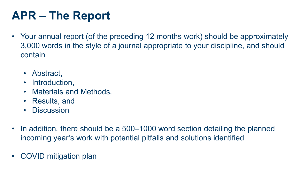## **APR – The Report**

- Your annual report (of the preceding 12 months work) should be approximately 3,000 words in the style of a journal appropriate to your discipline, and should contain
	- Abstract,
	- Introduction,
	- Materials and Methods,
	- Results, and
	- Discussion
- In addition, there should be a 500–1000 word section detailing the planned incoming year's work with potential pitfalls and solutions identified
- COVID mitigation plan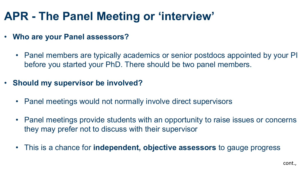## **APR - The Panel Meeting or 'interview'**

- **Who are your Panel assessors?**
	- Panel members are typically academics or senior postdocs appointed by your PI before you started your PhD. There should be two panel members.
- **Should my supervisor be involved?**
	- Panel meetings would not normally involve direct supervisors
	- Panel meetings provide students with an opportunity to raise issues or concerns they may prefer not to discuss with their supervisor
	- This is a chance for **independent, objective assessors** to gauge progress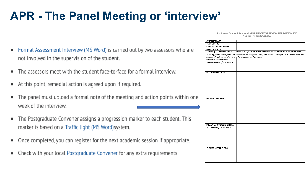## **APR - The Panel Meeting or 'interview'**

- Formal Assessment Interview (MS Word) is carried out by two assessors who are ٠ not involved in the supervision of the student.
- The assessors meet with the student face-to-face for a formal interview. п
- At this point, remedial action is agreed upon if required. л
- The panel must upload a formal note of the meeting and action points within one п week of the interview.
- The Postgraduate Convener assigns a progression marker to each student. This л marker is based on a Traffic light (MS Word) system.
- Once completed, you can register for the next academic session if appropriate. ٠
- Check with your local Postgraduate Convener for any extra requirements. л

| Institute of Cancer Sciences ANNUAL PROGRESS REVIEW INTERVIEW GUIDE |  |
|---------------------------------------------------------------------|--|
| Version 1 - updated 24.02.2016                                      |  |

| STUDENT NAME                                                    |                                                                                                                     |
|-----------------------------------------------------------------|---------------------------------------------------------------------------------------------------------------------|
| YEAR OF STUDY                                                   |                                                                                                                     |
| <b>REVIEWER PANEL NAMES</b>                                     |                                                                                                                     |
| <b>DATE OF REVIEW</b>                                           |                                                                                                                     |
|                                                                 | This is a guide for reviewers for the annual PGR progress review interview. Please ensure all areas are covered,    |
|                                                                 |                                                                                                                     |
|                                                                 | including future career plans, and brief notes are completed. This form can be printed for use in the interview and |
| also completed as a word document for upload to the PGR system. |                                                                                                                     |
| SUPERVISORY MEETING                                             |                                                                                                                     |
| ARRANGEMENTS/FREQUENCY                                          |                                                                                                                     |
|                                                                 |                                                                                                                     |
|                                                                 |                                                                                                                     |
|                                                                 |                                                                                                                     |
| <b>RESEARCH PROGRESS</b>                                        |                                                                                                                     |
|                                                                 |                                                                                                                     |
|                                                                 |                                                                                                                     |
|                                                                 |                                                                                                                     |
|                                                                 |                                                                                                                     |
|                                                                 |                                                                                                                     |
|                                                                 |                                                                                                                     |
|                                                                 |                                                                                                                     |
|                                                                 |                                                                                                                     |
|                                                                 |                                                                                                                     |
|                                                                 |                                                                                                                     |
| <b>WRITING PROGRESS</b>                                         |                                                                                                                     |
|                                                                 |                                                                                                                     |
|                                                                 |                                                                                                                     |
|                                                                 |                                                                                                                     |
|                                                                 |                                                                                                                     |
|                                                                 |                                                                                                                     |
|                                                                 |                                                                                                                     |
|                                                                 |                                                                                                                     |
|                                                                 |                                                                                                                     |
|                                                                 |                                                                                                                     |
|                                                                 |                                                                                                                     |
| PRESENTATIONS/CONFERENCE                                        |                                                                                                                     |
| ATTENDANCE/PUBLICATIONS                                         |                                                                                                                     |
|                                                                 |                                                                                                                     |
|                                                                 |                                                                                                                     |
|                                                                 |                                                                                                                     |
|                                                                 |                                                                                                                     |
|                                                                 |                                                                                                                     |
|                                                                 |                                                                                                                     |
|                                                                 |                                                                                                                     |
|                                                                 |                                                                                                                     |
| <b>FUTURE CAREER PLANS</b>                                      |                                                                                                                     |
|                                                                 |                                                                                                                     |
|                                                                 |                                                                                                                     |
|                                                                 |                                                                                                                     |
|                                                                 |                                                                                                                     |
|                                                                 |                                                                                                                     |
|                                                                 |                                                                                                                     |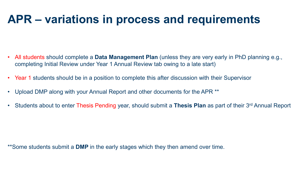### **APR – variations in process and requirements**

- All students should complete a **Data Management Plan** (unless they are very early in PhD planning e.g., completing Initial Review under Year 1 Annual Review tab owing to a late start)
- Year 1 students should be in a position to complete this after discussion with their Supervisor
- Upload DMP along with your Annual Report and other documents for the APR \*\*
- Students about to enter Thesis Pending year, should submit a **Thesis Plan** as part of their 3rd Annual Report

\*\*Some students submit a **DMP** in the early stages which they then amend over time.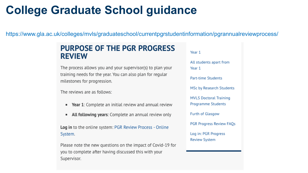### **College Graduate School guidance**

https://www.gla.ac.uk/colleges/mvls/graduateschool/currentpgrstudentinformation/pgrannualreviewprocess/

### **PURPOSE OF THE PGR PROGRESS REVIEW**

The process allows you and your supervisor(s) to plan your training needs for the year. You can also plan for regular milestones for progression.

The reviews are as follows:

- **Year 1:** Complete an initial review and annual review
- All following years: Complete an annual review only ٠

**Log in** to the online system: PGR Review Process - Online System.

Please note the new questions on the impact of Covid-19 for you to complete after having discussed this with your Supervisor.

Year 1 All students apart from Year 1 **Part-time Students MSc by Research Students MVLS Doctoral Training Programme Students Furth of Glasgow PGR Progress Review FAQs** Log in: PGR Progress **Review System**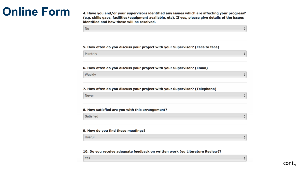### **Online Form**

4. Have you and/or your supervisors identified any issues which are affecting your progress? (e.g. skills gaps, facilities/equipment available, etc). If yes, please give details of the issues identified and how these will be resolved.

#### 5. How often do you discuss your project with your Supervisor? (Face to face)

Monthly

**No** 

#### 6. How often do you discuss your project with your Supervisor? (Email)

Weekly

#### 7. How often do you discuss your project with your Supervisor? (Telephone)

Never

#### 8. How satisfied are you with this arrangement?

Satisfied

#### 9. How do you find these meetings?

**Useful** 

#### 10. Do you receive adequate feedback on written work (eg Literature Review)?

Yes

≜

 $\frac{1}{\sqrt{2}}$ 

 $\div$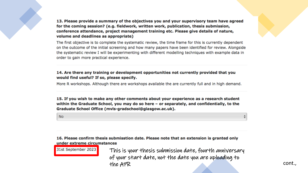13. Please provide a summary of the objectives you and your supervisory team have agreed for the coming session? (e.g. fieldwork, written work, publication, thesis submission, conference attendance, project management training etc. Please give details of nature, volume and deadlines as appropriate)

The first objective is to complete the systematic review, the time frame for this is currently dependent on the outcome of the initial screening and how many papers have been identified for review. Alongside the systematic review I will be experimenting with different modelling techniques with example data in order to gain more practical experience.

### 14. Are there any training or development opportunities not currently provided that you would find useful? If so, please specify.

More R workshops. Although there are workshops available the are currently full and in high demand.

15. If you wish to make any other comments about your experience as a research student within the Graduate School, you may do so here - or separately, and confidentially, to the Graduate School Office (mvls-gradschool@glasgow.ac.uk).

**No** 

31st September 2023

16. Please confirm thesis submisstion date. Please note that an extension is granted only under extreme circumstances

> This is your thesis submission date, fourth anniversary of your start date, not the date you are uploading to the APR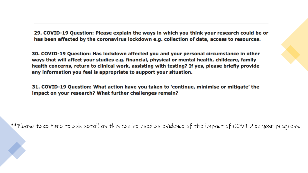29. COVID-19 Question: Please explain the ways in which you think your research could be or has been affected by the coronavirus lockdown e.g. collection of data, access to resources.

30. COVID-19 Question: Has lockdown affected you and your personal circumstance in other ways that will affect your studies e.g. financial, physical or mental health, childcare, family health concerns, return to clinical work, assisting with testing? If yes, please briefly provide any information you feel is appropriate to support your situation.

31. COVID-19 Question: What action have you taken to 'continue, minimise or mitigate' the impact on your research? What further challenges remain?

\*\*Please take time to add detail as this can be used as evidence of the impact of COVID on your progress.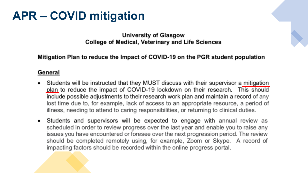### **APR – COVID mitigation**

University of Glasgow **College of Medical, Veterinary and Life Sciences** 

Mitigation Plan to reduce the Impact of COVID-19 on the PGR student population

### **General**

- Students will be instructed that they MUST discuss with their supervisor a mitigation plan to reduce the impact of COVID-19 lockdown on their research. This should include possible adjustments to their research work plan and maintain a record of any lost time due to, for example, lack of access to an appropriate resource, a period of illness, needing to attend to caring responsibilities, or returning to clinical duties.
- Students and supervisors will be expected to engage with annual review as scheduled in order to review progress over the last year and enable you to raise any issues you have encountered or foresee over the next progression period. The review should be completed remotely using, for example, Zoom or Skype. A record of impacting factors should be recorded within the online progress portal.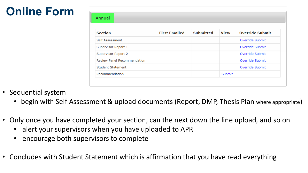## **Online Form**

| <b>Section</b>                     | <b>First Emailed</b> | <b>Submitted</b> | <b>View</b> | <b>Override Submit</b> |  |  |  |  |
|------------------------------------|----------------------|------------------|-------------|------------------------|--|--|--|--|
| Self Assessment                    |                      |                  |             | Override Submit        |  |  |  |  |
| Supervisor Report 1                |                      |                  |             | Override Submit        |  |  |  |  |
| Supervisor Report 2                |                      |                  |             | Override Submit        |  |  |  |  |
| <b>Review Panel Recommendation</b> |                      |                  |             | Override Submit        |  |  |  |  |
| Student Statement                  |                      |                  |             | Override Submit        |  |  |  |  |
| Recommendation                     |                      |                  | Submit      |                        |  |  |  |  |

- Sequential system
	- begin with Self Assessment & upload documents (Report, DMP, Thesis Plan where appropriate)
- Only once you have completed your section, can the next down the line upload, and so on
	- alert your supervisors when you have uploaded to APR
	- encourage both supervisors to complete
- Concludes with Student Statement which is affirmation that you have read everything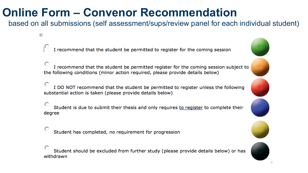### **Online Form – Convenor Recommendation**

 $\overline{+}$ 

based on all submissions (self assessment/sups/review panel for each individual student)

I recommend that the student be permitted to register for the coming session

I recommend that the student be permitted register for the coming session subject to the following conditions (minor action required, please provide details below)

I DO NOT recommend that the student be permitted to register unless the following substantial action is taken (please provide details below)

Student is due to submit their thesis and only requires to register to complete their degree

Student has completed, no requirement for progression

Student should be excluded from further study (please provide details below) or has withdrawn



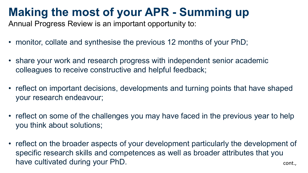### **Making the most of your APR - Summing up**

Annual Progress Review is an important opportunity to:

- monitor, collate and synthesise the previous 12 months of your PhD;
- share your work and research progress with independent senior academic colleagues to receive constructive and helpful feedback;
- reflect on important decisions, developments and turning points that have shaped your research endeavour;
- reflect on some of the challenges you may have faced in the previous year to help you think about solutions;
- reflect on the broader aspects of your development particularly the development of specific research skills and competences as well as broader attributes that you have cultivated during your PhD. The context of the context of the context of the context of the context of the context of the context of the context of the context of the context of the context of the context of the conte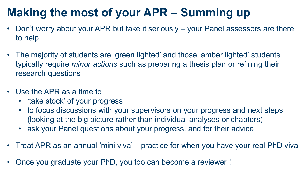## **Making the most of your APR – Summing up**

- Don't worry about your APR but take it seriously your Panel assessors are there to help
- The majority of students are 'green lighted' and those 'amber lighted' students typically require *minor actions* such as preparing a thesis plan or refining their research questions
- Use the APR as a time to
	- 'take stock' of your progress
	- to focus discussions with your supervisors on your progress and next steps (looking at the big picture rather than individual analyses or chapters)
	- ask your Panel questions about your progress, and for their advice
- Treat APR as an annual 'mini viva' practice for when you have your real PhD viva
- Once you graduate your PhD, you too can become a reviewer !